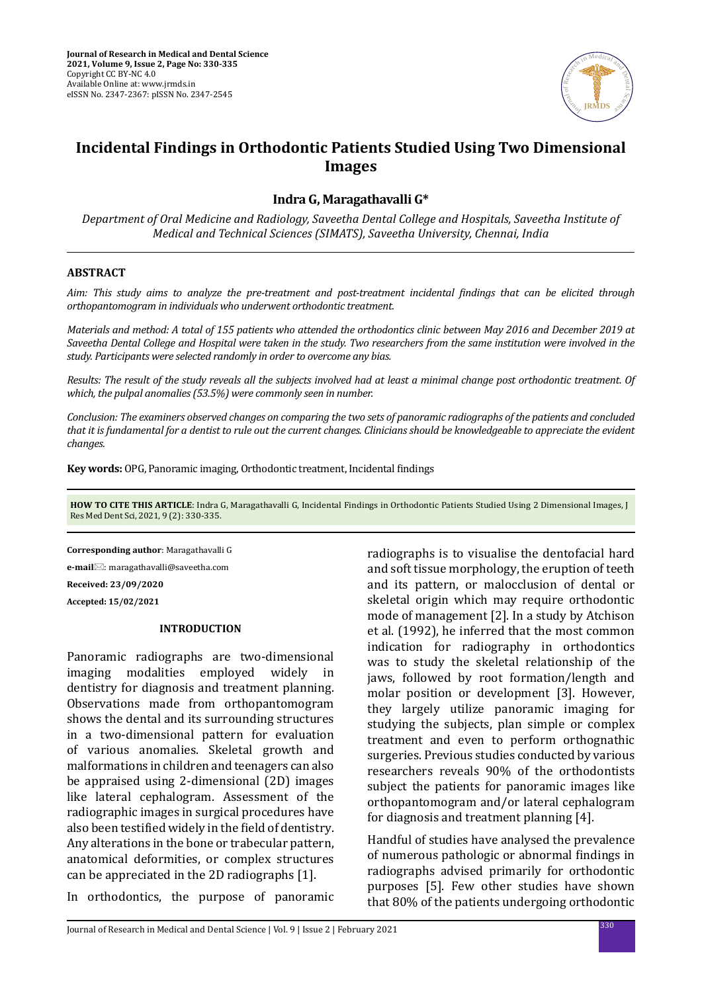

# **Incidental Findings in Orthodontic Patients Studied Using Two Dimensional Images**

### **Indra G, Maragathavalli G\***

*Department of Oral Medicine and Radiology, Saveetha Dental College and Hospitals, Saveetha Institute of Medical and Technical Sciences (SIMATS), Saveetha University, Chennai, India*

#### **ABSTRACT**

*Aim: This study aims to analyze the pre-treatment and post-treatment incidental findings that can be elicited through orthopantomogram in individuals who underwent orthodontic treatment.* 

*Materials and method: A total of 155 patients who attended the orthodontics clinic between May 2016 and December 2019 at Saveetha Dental College and Hospital were taken in the study. Two researchers from the same institution were involved in the study. Participants were selected randomly in order to overcome any bias.* 

*Results: The result of the study reveals all the subjects involved had at least a minimal change post orthodontic treatment. Of which, the pulpal anomalies (53.5%) were commonly seen in number.* 

*Conclusion: The examiners observed changes on comparing the two sets of panoramic radiographs of the patients and concluded that it is fundamental for a dentist to rule out the current changes. Clinicians should be knowledgeable to appreciate the evident changes.* 

**Key words:** OPG, Panoramic imaging, Orthodontic treatment, Incidental findings

**HOW TO CITE THIS ARTICLE**: Indra G, Maragathavalli G, Incidental Findings in Orthodontic Patients Studied Using 2 Dimensional Images, J Res Med Dent Sci, 2021, 9 (2): 330-335.

**Corresponding author**: Maragathavalli G **e-mail**: maragathavalli@saveetha.com **Received: 23/09/2020 Accepted: 15/02/2021**

#### **INTRODUCTION**

Panoramic radiographs are two-dimensional imaging modalities employed widely in dentistry for diagnosis and treatment planning. Observations made from orthopantomogram shows the dental and its surrounding structures in a two-dimensional pattern for evaluation of various anomalies. Skeletal growth and malformations in children and teenagers can also be appraised using 2-dimensional (2D) images like lateral cephalogram. Assessment of the radiographic images in surgical procedures have also been testified widely in the field of dentistry. Any alterations in the bone or trabecular pattern, anatomical deformities, or complex structures can be appreciated in the 2D radiographs [1].

In orthodontics, the purpose of panoramic

radiographs is to visualise the dentofacial hard and soft tissue morphology, the eruption of teeth and its pattern, or malocclusion of dental or skeletal origin which may require orthodontic mode of management [2]. In a study by Atchison et al. (1992), he inferred that the most common indication for radiography in orthodontics was to study the skeletal relationship of the jaws, followed by root formation/length and molar position or development [3]. However, they largely utilize panoramic imaging for studying the subjects, plan simple or complex treatment and even to perform orthognathic surgeries. Previous studies conducted by various researchers reveals 90% of the orthodontists subject the patients for panoramic images like orthopantomogram and/or lateral cephalogram for diagnosis and treatment planning [4].

Handful of studies have analysed the prevalence of numerous pathologic or abnormal findings in radiographs advised primarily for orthodontic purposes [5]. Few other studies have shown that 80% of the patients undergoing orthodontic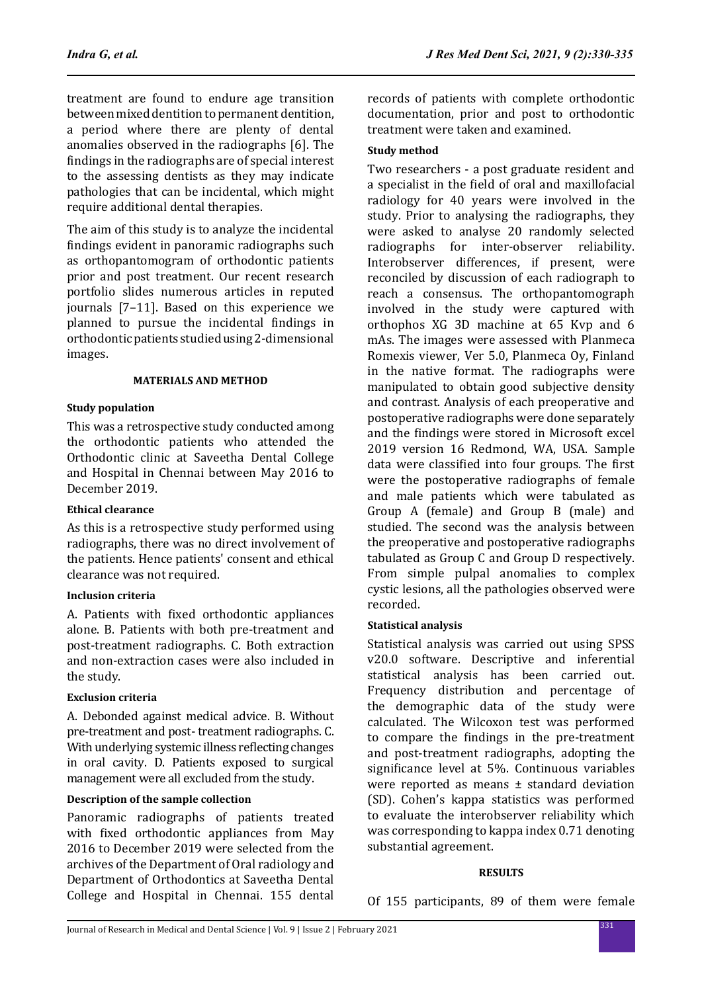treatment are found to endure age transition between mixed dentition to permanent dentition, a period where there are plenty of dental anomalies observed in the radiographs [6]. The findings in the radiographs are of special interest to the assessing dentists as they may indicate pathologies that can be incidental, which might require additional dental therapies.

The aim of this study is to analyze the incidental findings evident in panoramic radiographs such as orthopantomogram of orthodontic patients prior and post treatment. Our recent research portfolio slides numerous articles in reputed journals [7–11]. Based on this experience we planned to pursue the incidental findings in orthodontic patients studied using 2-dimensional images.

#### **MATERIALS AND METHOD**

### **Study population**

This was a retrospective study conducted among the orthodontic patients who attended the Orthodontic clinic at Saveetha Dental College and Hospital in Chennai between May 2016 to December 2019.

# **Ethical clearance**

As this is a retrospective study performed using radiographs, there was no direct involvement of the patients. Hence patients' consent and ethical clearance was not required.

# **Inclusion criteria**

A. Patients with fixed orthodontic appliances alone. B. Patients with both pre-treatment and post-treatment radiographs. C. Both extraction and non-extraction cases were also included in the study.

# **Exclusion criteria**

A. Debonded against medical advice. B. Without pre-treatment and post- treatment radiographs. C. With underlying systemic illness reflecting changes in oral cavity. D. Patients exposed to surgical management were all excluded from the study.

# **Description of the sample collection**

Panoramic radiographs of patients treated with fixed orthodontic appliances from May 2016 to December 2019 were selected from the archives of the Department of Oral radiology and Department of Orthodontics at Saveetha Dental College and Hospital in Chennai. 155 dental records of patients with complete orthodontic documentation, prior and post to orthodontic treatment were taken and examined.

### **Study method**

Two researchers - a post graduate resident and a specialist in the field of oral and maxillofacial radiology for 40 years were involved in the study. Prior to analysing the radiographs, they were asked to analyse 20 randomly selected<br>radiographs for inter-observer reliability. inter-observer reliability. Interobserver differences, if present, were reconciled by discussion of each radiograph to reach a consensus. The orthopantomograph involved in the study were captured with orthophos XG 3D machine at 65 Kvp and 6 mAs. The images were assessed with Planmeca Romexis viewer, Ver 5.0, Planmeca Oy, Finland in the native format. The radiographs were manipulated to obtain good subjective density and contrast. Analysis of each preoperative and postoperative radiographs were done separately and the findings were stored in Microsoft excel 2019 version 16 Redmond, WA, USA. Sample data were classified into four groups. The first were the postoperative radiographs of female and male patients which were tabulated as Group A (female) and Group B (male) and studied. The second was the analysis between the preoperative and postoperative radiographs tabulated as Group C and Group D respectively. From simple pulpal anomalies to complex cystic lesions, all the pathologies observed were recorded.

# **Statistical analysis**

Statistical analysis was carried out using SPSS v20.0 software. Descriptive and inferential statistical analysis has been carried out. Frequency distribution and percentage of the demographic data of the study were calculated. The Wilcoxon test was performed to compare the findings in the pre-treatment and post-treatment radiographs, adopting the significance level at 5%. Continuous variables were reported as means ± standard deviation (SD). Cohen's kappa statistics was performed to evaluate the interobserver reliability which was corresponding to kappa index 0.71 denoting substantial agreement.

#### **RESULTS**

Of 155 participants, 89 of them were female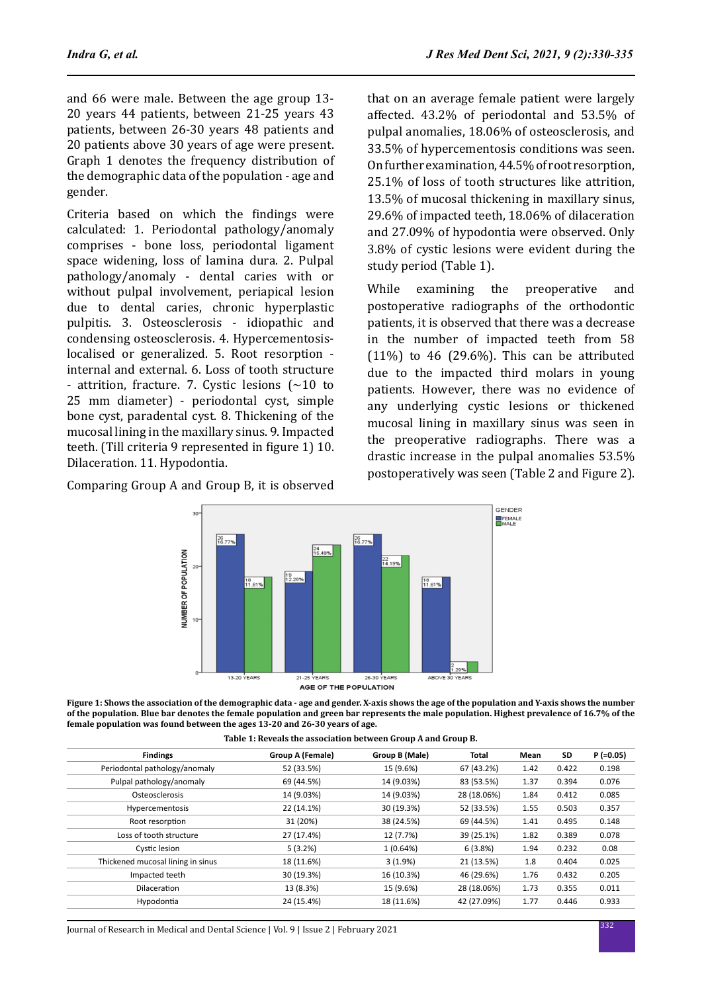and 66 were male. Between the age group 13- 20 years 44 patients, between 21-25 years 43 patients, between 26-30 years 48 patients and 20 patients above 30 years of age were present. Graph 1 denotes the frequency distribution of the demographic data of the population - age and gender.

Criteria based on which the findings were calculated: 1. Periodontal pathology/anomaly comprises - bone loss, periodontal ligament space widening, loss of lamina dura. 2. Pulpal pathology/anomaly - dental caries with or without pulpal involvement, periapical lesion due to dental caries, chronic hyperplastic pulpitis. 3. Osteosclerosis - idiopathic and condensing osteosclerosis. 4. Hypercementosislocalised or generalized. 5. Root resorption internal and external. 6. Loss of tooth structure - attrition, fracture. 7. Cystic lesions (∼10 to 25 mm diameter) - periodontal cyst, simple bone cyst, paradental cyst. 8. Thickening of the mucosal lining in the maxillary sinus. 9. Impacted teeth. (Till criteria 9 represented in figure 1) 10. Dilaceration. 11. Hypodontia.

Comparing Group A and Group B, it is observed

that on an average female patient were largely affected. 43.2% of periodontal and 53.5% of pulpal anomalies, 18.06% of osteosclerosis, and 33.5% of hypercementosis conditions was seen. On further examination, 44.5% of root resorption, 25.1% of loss of tooth structures like attrition, 13.5% of mucosal thickening in maxillary sinus, 29.6% of impacted teeth, 18.06% of dilaceration and 27.09% of hypodontia were observed. Only 3.8% of cystic lesions were evident during the study period (Table 1).

While examining the preoperative and postoperative radiographs of the orthodontic patients, it is observed that there was a decrease in the number of impacted teeth from 58  $(11\%)$  to 46 (29.6%). This can be attributed due to the impacted third molars in young patients. However, there was no evidence of any underlying cystic lesions or thickened mucosal lining in maxillary sinus was seen in the preoperative radiographs. There was a drastic increase in the pulpal anomalies 53.5% postoperatively was seen (Table 2 and Figure 2).



AGE OF THE POPULATION

**Figure 1: Shows the association of the demographic data - age and gender. X-axis shows the age of the population and Y-axis shows the number of the population. Blue bar denotes the female population and green bar represents the male population. Highest prevalence of 16.7% of the female population was found between the ages 13-20 and 26-30 years of age.**

|  |  | Table 1: Reveals the association between Group A and Group B. |  |
|--|--|---------------------------------------------------------------|--|

| <b>Findings</b>                   | <b>Group A (Female)</b> | Group B (Male) | Total       | Mean | SD    | $P(=0.05)$ |
|-----------------------------------|-------------------------|----------------|-------------|------|-------|------------|
| Periodontal pathology/anomaly     | 52 (33.5%)              | 15 (9.6%)      | 67 (43.2%)  | 1.42 | 0.422 | 0.198      |
| Pulpal pathology/anomaly          | 69 (44.5%)              | 14 (9.03%)     | 83 (53.5%)  | 1.37 | 0.394 | 0.076      |
| Osteosclerosis                    | 14 (9.03%)              | 14 (9.03%)     | 28 (18.06%) | 1.84 | 0.412 | 0.085      |
| Hypercementosis                   | 22 (14.1%)              | 30 (19.3%)     | 52 (33.5%)  | 1.55 | 0.503 | 0.357      |
| Root resorption                   | 31 (20%)                | 38 (24.5%)     | 69 (44.5%)  | 1.41 | 0.495 | 0.148      |
| Loss of tooth structure           | 27 (17.4%)              | 12 (7.7%)      | 39 (25.1%)  | 1.82 | 0.389 | 0.078      |
| Cystic lesion                     | 5(3.2%)                 | 1(0.64%)       | 6(3.8%)     | 1.94 | 0.232 | 0.08       |
| Thickened mucosal lining in sinus | 18 (11.6%)              | 3(1.9%)        | 21 (13.5%)  | 1.8  | 0.404 | 0.025      |
| Impacted teeth                    | 30 (19.3%)              | 16 (10.3%)     | 46 (29.6%)  | 1.76 | 0.432 | 0.205      |
| Dilaceration                      | 13 (8.3%)               | 15 (9.6%)      | 28 (18.06%) | 1.73 | 0.355 | 0.011      |
| Hypodontia                        | 24 (15.4%)              | 18 (11.6%)     | 42 (27.09%) | 1.77 | 0.446 | 0.933      |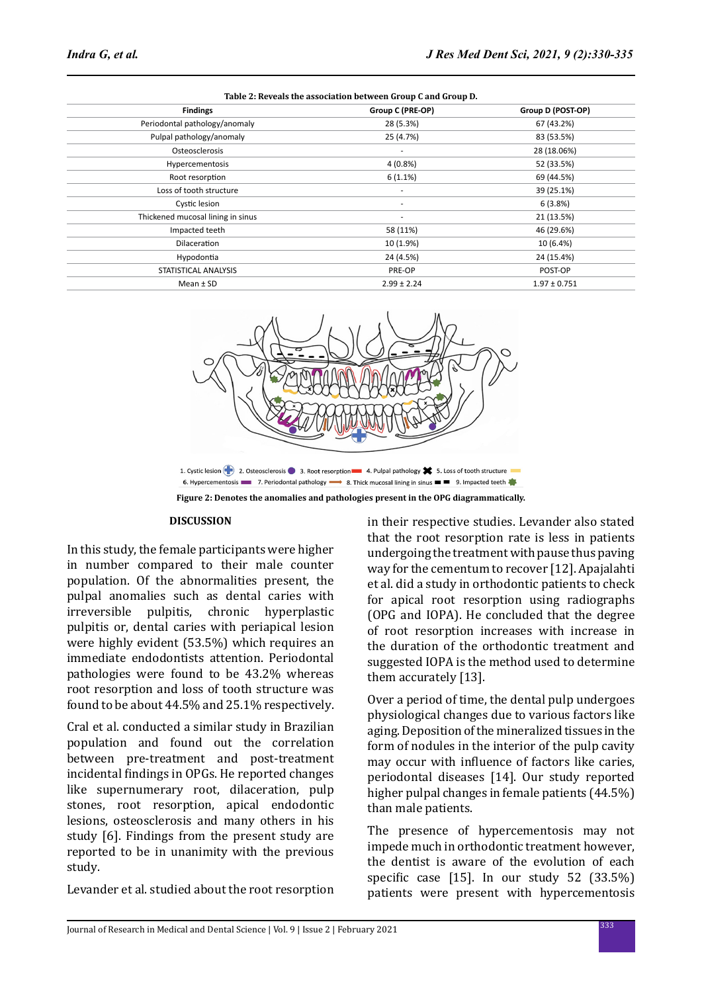| Table 2: Reveals the association between Group C and Group D. |                  |                   |  |  |  |  |  |
|---------------------------------------------------------------|------------------|-------------------|--|--|--|--|--|
| <b>Findings</b>                                               | Group C (PRE-OP) | Group D (POST-OP) |  |  |  |  |  |
| Periodontal pathology/anomaly                                 | 28 (5.3%)        | 67 (43.2%)        |  |  |  |  |  |
| Pulpal pathology/anomaly                                      | 25 (4.7%)        | 83 (53.5%)        |  |  |  |  |  |
| Osteosclerosis                                                | ٠                | 28 (18.06%)       |  |  |  |  |  |
| <b>Hypercementosis</b>                                        | $4(0.8\%)$       | 52 (33.5%)        |  |  |  |  |  |
| Root resorption                                               | 6(1.1%)          | 69 (44.5%)        |  |  |  |  |  |
| Loss of tooth structure                                       | ٠                | 39 (25.1%)        |  |  |  |  |  |
| Cystic lesion                                                 | ٠                | 6(3.8%)           |  |  |  |  |  |
| Thickened mucosal lining in sinus                             | ٠                | 21 (13.5%)        |  |  |  |  |  |
| Impacted teeth                                                | 58 (11%)         | 46 (29.6%)        |  |  |  |  |  |
| <b>Dilaceration</b>                                           | 10 (1.9%)        | 10 (6.4%)         |  |  |  |  |  |
| Hypodontia                                                    | 24 (4.5%)        | 24 (15.4%)        |  |  |  |  |  |
| STATISTICAL ANALYSIS                                          | PRE-OP           | POST-OP           |  |  |  |  |  |
| Mean $±$ SD                                                   | $2.99 \pm 2.24$  | $1.97 \pm 0.751$  |  |  |  |  |  |
|                                                               |                  |                   |  |  |  |  |  |



**Figure 2: Denotes the anomalies and pathologies present in the OPG diagrammatically.**

#### **DISCUSSION**

In this study, the female participants were higher in number compared to their male counter population. Of the abnormalities present, the pulpal anomalies such as dental caries with<br>irreversible pulpitis, chronic hyperplastic chronic hyperplastic pulpitis or, dental caries with periapical lesion were highly evident (53.5%) which requires an immediate endodontists attention. Periodontal pathologies were found to be 43.2% whereas root resorption and loss of tooth structure was found to be about 44.5% and 25.1% respectively.

Cral et al. conducted a similar study in Brazilian population and found out the correlation between pre-treatment and post-treatment incidental findings in OPGs. He reported changes like supernumerary root, dilaceration, pulp stones, root resorption, apical endodontic lesions, osteosclerosis and many others in his study [6]. Findings from the present study are reported to be in unanimity with the previous study.

Levander et al. studied about the root resorption

in their respective studies. Levander also stated that the root resorption rate is less in patients undergoing the treatment with pause thus paving way for the cementum to recover [12]. Apajalahti et al. did a study in orthodontic patients to check for apical root resorption using radiographs (OPG and IOPA). He concluded that the degree of root resorption increases with increase in the duration of the orthodontic treatment and suggested IOPA is the method used to determine them accurately [13].

Over a period of time, the dental pulp undergoes physiological changes due to various factors like aging. Deposition of the mineralized tissues in the form of nodules in the interior of the pulp cavity may occur with influence of factors like caries, periodontal diseases [14]. Our study reported higher pulpal changes in female patients (44.5%) than male patients.

The presence of hypercementosis may not impede much in orthodontic treatment however, the dentist is aware of the evolution of each specific case [15]. In our study 52 (33.5%) patients were present with hypercementosis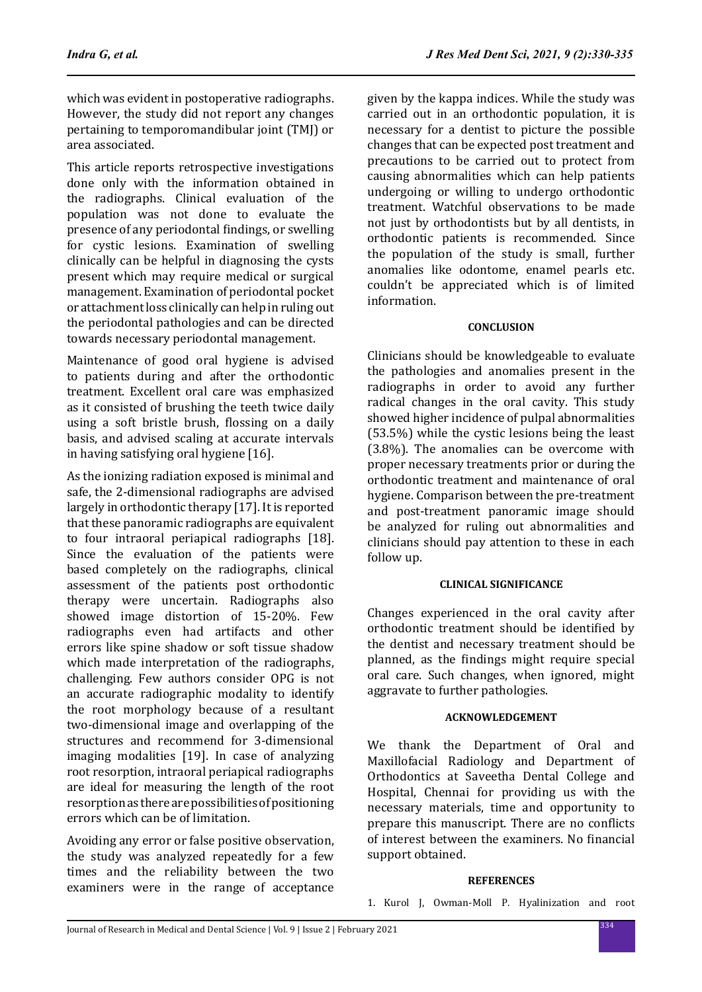which was evident in postoperative radiographs. However, the study did not report any changes pertaining to temporomandibular joint (TMJ) or area associated.

This article reports retrospective investigations done only with the information obtained in the radiographs. Clinical evaluation of the population was not done to evaluate the presence of any periodontal findings, or swelling for cystic lesions. Examination of swelling clinically can be helpful in diagnosing the cysts present which may require medical or surgical management. Examination of periodontal pocket or attachment loss clinically can help in ruling out the periodontal pathologies and can be directed towards necessary periodontal management.

Maintenance of good oral hygiene is advised to patients during and after the orthodontic treatment. Excellent oral care was emphasized as it consisted of brushing the teeth twice daily using a soft bristle brush, flossing on a daily basis, and advised scaling at accurate intervals in having satisfying oral hygiene [16].

As the ionizing radiation exposed is minimal and safe, the 2-dimensional radiographs are advised largely in orthodontic therapy [17]. It is reported that these panoramic radiographs are equivalent to four intraoral periapical radiographs [18]. Since the evaluation of the patients were based completely on the radiographs, clinical assessment of the patients post orthodontic therapy were uncertain. Radiographs also showed image distortion of 15-20%. Few radiographs even had artifacts and other errors like spine shadow or soft tissue shadow which made interpretation of the radiographs, challenging. Few authors consider OPG is not an accurate radiographic modality to identify the root morphology because of a resultant two-dimensional image and overlapping of the structures and recommend for 3-dimensional imaging modalities [19]. In case of analyzing root resorption, intraoral periapical radiographs are ideal for measuring the length of the root resorption as there are possibilities of positioning errors which can be of limitation.

Avoiding any error or false positive observation, the study was analyzed repeatedly for a few times and the reliability between the two examiners were in the range of acceptance given by the kappa indices. While the study was carried out in an orthodontic population, it is necessary for a dentist to picture the possible changes that can be expected post treatment and precautions to be carried out to protect from causing abnormalities which can help patients undergoing or willing to undergo orthodontic treatment. Watchful observations to be made not just by orthodontists but by all dentists, in orthodontic patients is recommended. Since the population of the study is small, further anomalies like odontome, enamel pearls etc. couldn't be appreciated which is of limited information.

### **CONCLUSION**

Clinicians should be knowledgeable to evaluate the pathologies and anomalies present in the radiographs in order to avoid any further radical changes in the oral cavity. This study showed higher incidence of pulpal abnormalities (53.5%) while the cystic lesions being the least (3.8%). The anomalies can be overcome with proper necessary treatments prior or during the orthodontic treatment and maintenance of oral hygiene. Comparison between the pre-treatment and post-treatment panoramic image should be analyzed for ruling out abnormalities and clinicians should pay attention to these in each follow up.

#### **CLINICAL SIGNIFICANCE**

Changes experienced in the oral cavity after orthodontic treatment should be identified by the dentist and necessary treatment should be planned, as the findings might require special oral care. Such changes, when ignored, might aggravate to further pathologies.

#### **ACKNOWLEDGEMENT**

We thank the Department of Oral and Maxillofacial Radiology and Department of Orthodontics at Saveetha Dental College and Hospital, Chennai for providing us with the necessary materials, time and opportunity to prepare this manuscript. There are no conflicts of interest between the examiners. No financial support obtained.

#### **REFERENCES**

1. Kurol J, Owman-Moll P. Hyalinization and root